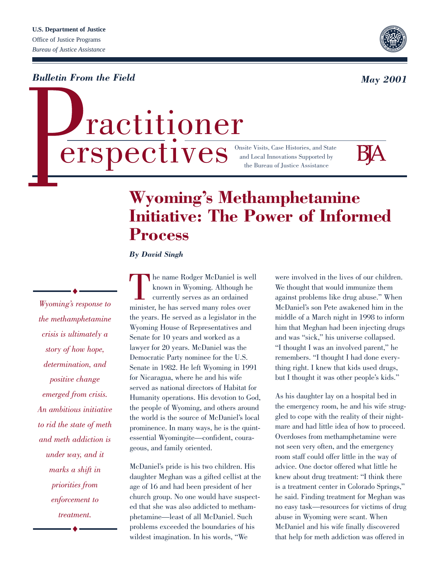*Bulletin From the Field*

# $\textbf{erspective}$  State Histories, and Stat ractitioner

Onsite Visits, Case Histories, and State



# **Wyoming's Methamphetamine Initiative: The Power of Informed Process**

*By David Singh*

*Wyoming's response to the methamphetamine crisis is ultimately a story of how hope, determination, and positive change emerged from crisis. An ambitious initiative to rid the state of meth and meth addiction is under way, and it marks a shift in priorities from enforcement to treatment.*

The name Rodger McDaniel is well<br>known in Wyoming. Although he<br>currently serves as an ordained<br>minister, he has served many roles over known in Wyoming. Although he currently serves as an ordained the years. He served as a legislator in the Wyoming House of Representatives and Senate for 10 years and worked as a lawyer for 20 years. McDaniel was the Democratic Party nominee for the U.S. Senate in 1982. He left Wyoming in 1991 for Nicaragua, where he and his wife served as national directors of Habitat for Humanity operations. His devotion to God, the people of Wyoming, and others around the world is the source of McDaniel's local prominence. In many ways, he is the quintessential Wyomingite—confident, courageous, and family oriented.

McDaniel's pride is his two children. His daughter Meghan was a gifted cellist at the age of 16 and had been president of her church group. No one would have suspected that she was also addicted to methamphetamine—least of all McDaniel. Such problems exceeded the boundaries of his wildest imagination. In his words, "We

were involved in the lives of our children. We thought that would immunize them against problems like drug abuse." When McDaniel's son Pete awakened him in the middle of a March night in 1998 to inform him that Meghan had been injecting drugs and was "sick," his universe collapsed. "I thought I was an involved parent," he remembers. "I thought I had done everything right. I knew that kids used drugs, but I thought it was other people's kids."

As his daughter lay on a hospital bed in the emergency room, he and his wife struggled to cope with the reality of their nightmare and had little idea of how to proceed. Overdoses from methamphetamine were not seen very often, and the emergency room staff could offer little in the way of advice. One doctor offered what little he knew about drug treatment: "I think there is a treatment center in Colorado Springs," he said. Finding treatment for Meghan was no easy task—resources for victims of drug abuse in Wyoming were scant. When McDaniel and his wife finally discovered that help for meth addiction was offered in



*May 2001*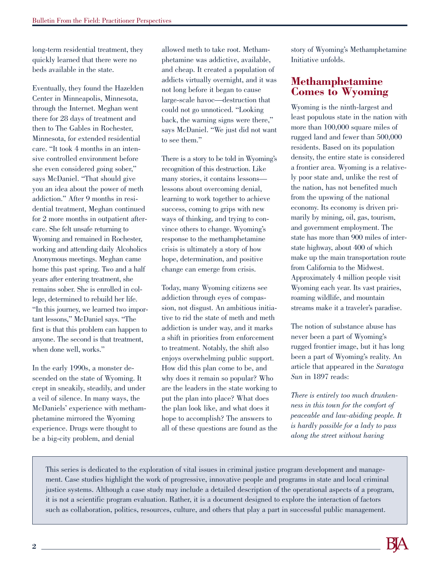long-term residential treatment, they quickly learned that there were no beds available in the state.

Eventually, they found the Hazelden Center in Minneapolis, Minnesota, through the Internet. Meghan went there for 28 days of treatment and then to The Gables in Rochester, Minnesota, for extended residential care. "It took 4 months in an intensive controlled environment before she even considered going sober," says McDaniel. "That should give you an idea about the power of meth addiction." After 9 months in residential treatment, Meghan continued for 2 more months in outpatient aftercare. She felt unsafe returning to Wyoming and remained in Rochester, working and attending daily Alcoholics Anonymous meetings. Meghan came home this past spring. Two and a half years after entering treatment, she remains sober. She is enrolled in college, determined to rebuild her life. "In this journey, we learned two important lessons," McDaniel says. "The first is that this problem can happen to anyone. The second is that treatment, when done well, works."

In the early 1990s, a monster descended on the state of Wyoming. It crept in sneakily, steadily, and under a veil of silence. In many ways, the McDaniels' experience with methamphetamine mirrored the Wyoming experience. Drugs were thought to be a big-city problem, and denial

allowed meth to take root. Methamphetamine was addictive, available, and cheap. It created a population of addicts virtually overnight, and it was not long before it began to cause large-scale havoc—destruction that could not go unnoticed. "Looking back, the warning signs were there," says McDaniel. "We just did not want to see them."

There is a story to be told in Wyoming's recognition of this destruction. Like many stories, it contains lessons lessons about overcoming denial, learning to work together to achieve success, coming to grips with new ways of thinking, and trying to convince others to change. Wyoming's response to the methamphetamine crisis is ultimately a story of how hope, determination, and positive change can emerge from crisis.

Today, many Wyoming citizens see addiction through eyes of compassion, not disgust. An ambitious initiative to rid the state of meth and meth addiction is under way, and it marks a shift in priorities from enforcement to treatment. Notably, the shift also enjoys overwhelming public support. How did this plan come to be, and why does it remain so popular? Who are the leaders in the state working to put the plan into place? What does the plan look like, and what does it hope to accomplish? The answers to all of these questions are found as the story of Wyoming's Methamphetamine Initiative unfolds.

#### **Methamphetamine Comes to Wyoming**

Wyoming is the ninth-largest and least populous state in the nation with more than 100,000 square miles of rugged land and fewer than 500,000 residents. Based on its population density, the entire state is considered a frontier area. Wyoming is a relatively poor state and, unlike the rest of the nation, has not benefited much from the upswing of the national economy. Its economy is driven primarily by mining, oil, gas, tourism, and government employment. The state has more than 900 miles of interstate highway, about 400 of which make up the main transportation route from California to the Midwest. Approximately 4 million people visit Wyoming each year. Its vast prairies, roaming wildlife, and mountain streams make it a traveler's paradise.

The notion of substance abuse has never been a part of Wyoming's rugged frontier image, but it has long been a part of Wyoming's reality. An article that appeared in the *Saratoga Sun* in 1897 reads:

*There is entirely too much drunkenness in this town for the comfort of peaceable and law-abiding people. It is hardly possible for a lady to pass along the street without having*

This series is dedicated to the exploration of vital issues in criminal justice program development and management. Case studies highlight the work of progressive, innovative people and programs in state and local criminal justice systems. Although a case study may include a detailed description of the operational aspects of a program, it is not a scientific program evaluation. Rather, it is a document designed to explore the interaction of factors such as collaboration, politics, resources, culture, and others that play a part in successful public management.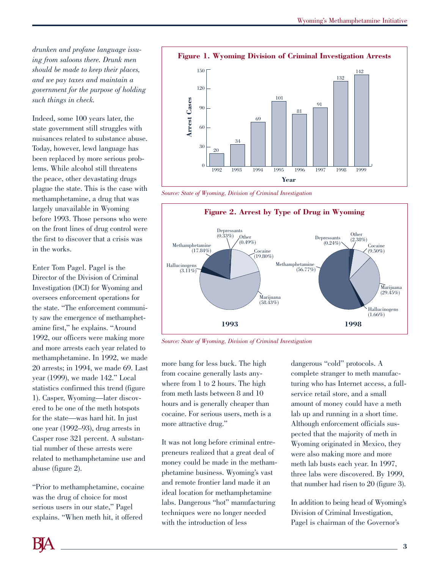*drunken and profane language issuing from saloons there. Drunk men should be made to keep their places, and we pay taxes and maintain a government for the purpose of holding such things in check.* 

Indeed, some 100 years later, the state government still struggles with nuisances related to substance abuse. Today, however, lewd language has been replaced by more serious problems. While alcohol still threatens the peace, other devastating drugs plague the state. This is the case with methamphetamine, a drug that was largely unavailable in Wyoming before 1993. Those persons who were on the front lines of drug control were the first to discover that a crisis was in the works.

Enter Tom Pagel. Pagel is the Director of the Division of Criminal Investigation (DCI) for Wyoming and oversees enforcement operations for the state. "The enforcement community saw the emergence of methamphetamine first," he explains. "Around 1992, our officers were making more and more arrests each year related to methamphetamine. In 1992, we made 20 arrests; in 1994, we made 69. Last year (1999), we made 142." Local statistics confirmed this trend (figure 1). Casper, Wyoming—later discovered to be one of the meth hotspots for the state—was hard hit. In just one year (1992–93), drug arrests in Casper rose 321 percent. A substantial number of these arrests were related to methamphetamine use and abuse (figure 2).

"Prior to methamphetamine, cocaine was the drug of choice for most serious users in our state," Pagel explains. "When meth hit, it offered



*Source: State of Wyoming, Division of Criminal Investigation*



*Source: State of Wyoming, Division of Criminal Investigation*

more bang for less buck. The high from cocaine generally lasts anywhere from 1 to 2 hours. The high from meth lasts between 8 and 10 hours and is generally cheaper than cocaine. For serious users, meth is a more attractive drug."

It was not long before criminal entrepreneurs realized that a great deal of money could be made in the methamphetamine business. Wyoming's vast and remote frontier land made it an ideal location for methamphetamine labs. Dangerous "hot" manufacturing techniques were no longer needed with the introduction of less

dangerous "cold" protocols. A complete stranger to meth manufacturing who has Internet access, a fullservice retail store, and a small amount of money could have a meth lab up and running in a short time. Although enforcement officials suspected that the majority of meth in Wyoming originated in Mexico, they were also making more and more meth lab busts each year. In 1997, three labs were discovered. By 1999, that number had risen to 20 (figure 3).

In addition to being head of Wyoming's Division of Criminal Investigation, Pagel is chairman of the Governor's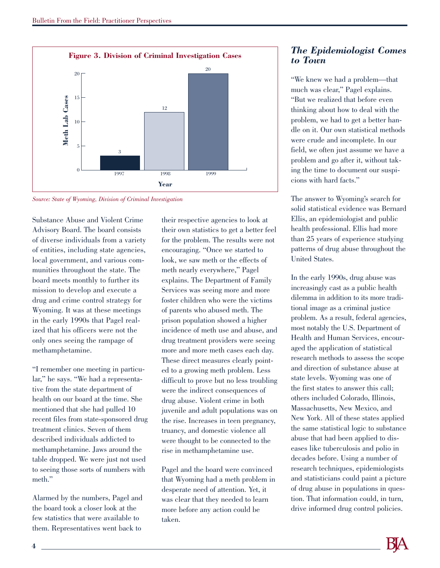**Figure 3. Division of Criminal Investigation Cases** 20 20 15 Meth Lab Cases **Meth Lab Cases**12 10 5 3  $\Omega$ 1997 1998 1999 **Year**

*Source: State of Wyoming, Division of Criminal Investigation*

Substance Abuse and Violent Crime Advisory Board. The board consists of diverse individuals from a variety of entities, including state agencies, local government, and various communities throughout the state. The board meets monthly to further its mission to develop and execute a drug and crime control strategy for Wyoming. It was at these meetings in the early 1990s that Pagel realized that his officers were not the only ones seeing the rampage of methamphetamine.

"I remember one meeting in particular," he says. "We had a representative from the state department of health on our board at the time. She mentioned that she had pulled 10 recent files from state-sponsored drug treatment clinics. Seven of them described individuals addicted to methamphetamine. Jaws around the table dropped. We were just not used to seeing those sorts of numbers with meth."

Alarmed by the numbers, Pagel and the board took a closer look at the few statistics that were available to them. Representatives went back to

their respective agencies to look at their own statistics to get a better feel for the problem. The results were not encouraging. "Once we started to look, we saw meth or the effects of meth nearly everywhere," Pagel explains. The Department of Family Services was seeing more and more foster children who were the victims of parents who abused meth. The prison population showed a higher incidence of meth use and abuse, and drug treatment providers were seeing more and more meth cases each day. These direct measures clearly pointed to a growing meth problem. Less difficult to prove but no less troubling were the indirect consequences of drug abuse. Violent crime in both juvenile and adult populations was on the rise. Increases in teen pregnancy, truancy, and domestic violence all were thought to be connected to the rise in methamphetamine use.

Pagel and the board were convinced that Wyoming had a meth problem in desperate need of attention. Yet, it was clear that they needed to learn more before any action could be taken.

#### *The Epidemiologist Comes to Town*

"We knew we had a problem—that much was clear," Pagel explains. "But we realized that before even thinking about how to deal with the problem, we had to get a better handle on it. Our own statistical methods were crude and incomplete. In our field, we often just assume we have a problem and go after it, without taking the time to document our suspicions with hard facts."

The answer to Wyoming's search for solid statistical evidence was Bernard Ellis, an epidemiologist and public health professional. Ellis had more than 25 years of experience studying patterns of drug abuse throughout the United States.

In the early 1990s, drug abuse was increasingly cast as a public health dilemma in addition to its more traditional image as a criminal justice problem. As a result, federal agencies, most notably the U.S. Department of Health and Human Services, encouraged the application of statistical research methods to assess the scope and direction of substance abuse at state levels. Wyoming was one of the first states to answer this call; others included Colorado, Illinois, Massachusetts, New Mexico, and New York. All of these states applied the same statistical logic to substance abuse that had been applied to diseases like tuberculosis and polio in decades before. Using a number of research techniques, epidemiologists and statisticians could paint a picture of drug abuse in populations in question. That information could, in turn, drive informed drug control policies.

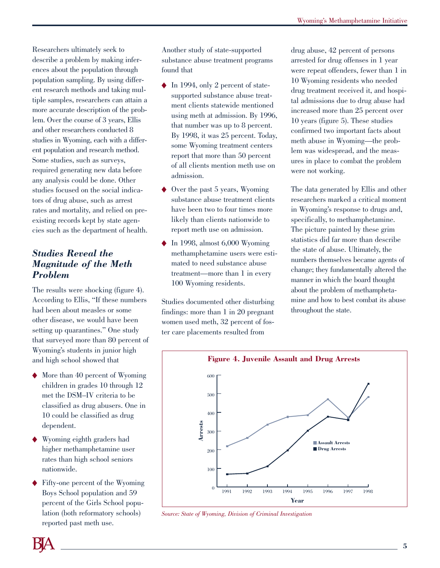Researchers ultimately seek to describe a problem by making inferences about the population through population sampling. By using different research methods and taking multiple samples, researchers can attain a more accurate description of the problem. Over the course of 3 years, Ellis and other researchers conducted 8 studies in Wyoming, each with a different population and research method. Some studies, such as surveys, required generating new data before any analysis could be done. Other studies focused on the social indicators of drug abuse, such as arrest rates and mortality, and relied on preexisting records kept by state agencies such as the department of health.

#### *Studies Reveal the Magnitude of the Meth Problem*

The results were shocking (figure 4). According to Ellis, "If these numbers had been about measles or some other disease, we would have been setting up quarantines." One study that surveyed more than 80 percent of Wyoming's students in junior high and high school showed that

- ◆ More than 40 percent of Wyoming children in grades 10 through 12 met the DSM–IV criteria to be classified as drug abusers. One in 10 could be classified as drug dependent.
- Wyoming eighth graders had higher methamphetamine user rates than high school seniors nationwide.
- ◆ Fifty-one percent of the Wyoming Boys School population and 59 percent of the Girls School population (both reformatory schools) reported past meth use.

Another study of state-supported substance abuse treatment programs found that

- ◆ In 1994, only 2 percent of statesupported substance abuse treatment clients statewide mentioned using meth at admission. By 1996, that number was up to 8 percent. By 1998, it was 25 percent. Today, some Wyoming treatment centers report that more than 50 percent of all clients mention meth use on admission.
- Over the past 5 years, Wyoming substance abuse treatment clients have been two to four times more likely than clients nationwide to report meth use on admission.
- $\blacklozenge$  In 1998, almost 6,000 Wyoming methamphetamine users were estimated to need substance abuse treatment—more than 1 in every 100 Wyoming residents.

Studies documented other disturbing findings: more than 1 in 20 pregnant women used meth, 32 percent of foster care placements resulted from

drug abuse, 42 percent of persons arrested for drug offenses in 1 year were repeat offenders, fewer than 1 in 10 Wyoming residents who needed drug treatment received it, and hospital admissions due to drug abuse had increased more than 25 percent over 10 years (figure 5). These studies confirmed two important facts about meth abuse in Wyoming—the problem was widespread, and the measures in place to combat the problem were not working.

The data generated by Ellis and other researchers marked a critical moment in Wyoming's response to drugs and, specifically, to methamphetamine. The picture painted by these grim statistics did far more than describe the state of abuse. Ultimately, the numbers themselves became agents of change; they fundamentally altered the manner in which the board thought about the problem of methamphetamine and how to best combat its abuse throughout the state.



*Source: State of Wyoming, Division of Criminal Investigation*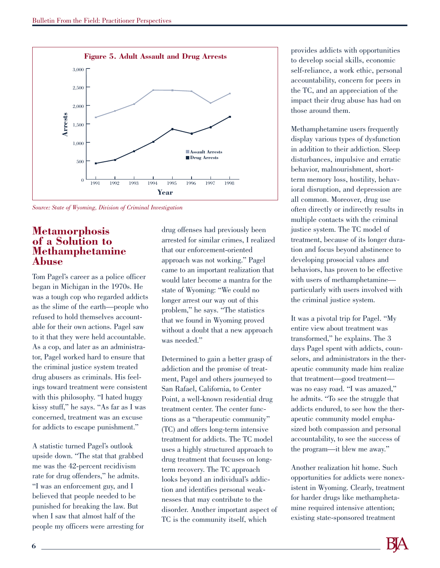

*Source: State of Wyoming, Division of Criminal Investigation*

#### **Metamorphosis of a Solution to Methamphetamine Abuse**

Tom Pagel's career as a police officer began in Michigan in the 1970s. He was a tough cop who regarded addicts as the slime of the earth—people who refused to hold themselves accountable for their own actions. Pagel saw to it that they were held accountable. As a cop, and later as an administrator, Pagel worked hard to ensure that the criminal justice system treated drug abusers as criminals. His feelings toward treatment were consistent with this philosophy. "I hated huggy kissy stuff," he says. "As far as I was concerned, treatment was an excuse for addicts to escape punishment."

A statistic turned Pagel's outlook upside down. "The stat that grabbed me was the 42-percent recidivism rate for drug offenders," he admits. "I was an enforcement guy, and I believed that people needed to be punished for breaking the law. But when I saw that almost half of the people my officers were arresting for drug offenses had previously been arrested for similar crimes, I realized that our enforcement-oriented approach was not working." Pagel came to an important realization that would later become a mantra for the state of Wyoming: "We could no longer arrest our way out of this problem," he says. "The statistics that we found in Wyoming proved without a doubt that a new approach was needed."

Determined to gain a better grasp of addiction and the promise of treatment, Pagel and others journeyed to San Rafael, California, to Center Point, a well-known residential drug treatment center. The center functions as a "therapeutic community" (TC) and offers long-term intensive treatment for addicts. The TC model uses a highly structured approach to drug treatment that focuses on longterm recovery. The TC approach looks beyond an individual's addiction and identifies personal weaknesses that may contribute to the disorder. Another important aspect of TC is the community itself, which

provides addicts with opportunities to develop social skills, economic self-reliance, a work ethic, personal accountability, concern for peers in the TC, and an appreciation of the impact their drug abuse has had on those around them.

Methamphetamine users frequently display various types of dysfunction in addition to their addiction. Sleep disturbances, impulsive and erratic behavior, malnourishment, shortterm memory loss, hostility, behavioral disruption, and depression are all common. Moreover, drug use often directly or indirectly results in multiple contacts with the criminal justice system. The TC model of treatment, because of its longer duration and focus beyond abstinence to developing prosocial values and behaviors, has proven to be effective with users of methamphetamine particularly with users involved with the criminal justice system.

It was a pivotal trip for Pagel. "My entire view about treatment was transformed," he explains. The 3 days Pagel spent with addicts, counselors, and administrators in the therapeutic community made him realize that treatment—good treatment was no easy road. "I was amazed," he admits. "To see the struggle that addicts endured, to see how the therapeutic community model emphasized both compassion and personal accountability, to see the success of the program—it blew me away."

Another realization hit home. Such opportunities for addicts were nonexistent in Wyoming. Clearly, treatment for harder drugs like methamphetamine required intensive attention; existing state-sponsored treatment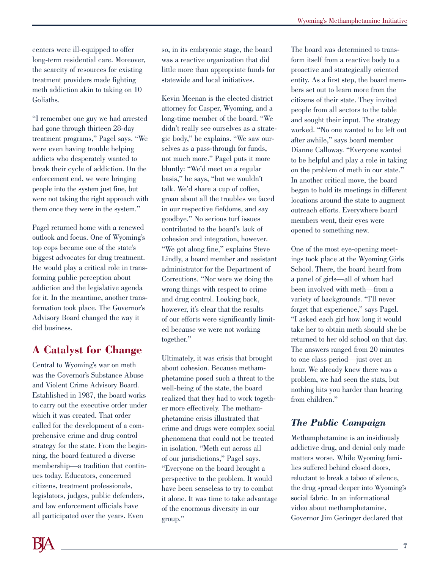centers were ill-equipped to offer long-term residential care. Moreover, the scarcity of resources for existing treatment providers made fighting meth addiction akin to taking on 10 Goliaths.

"I remember one guy we had arrested had gone through thirteen 28-day treatment programs," Pagel says. "We were even having trouble helping addicts who desperately wanted to break their cycle of addiction. On the enforcement end, we were bringing people into the system just fine, but were not taking the right approach with them once they were in the system."

Pagel returned home with a renewed outlook and focus. One of Wyoming's top cops became one of the state's biggest advocates for drug treatment. He would play a critical role in transforming public perception about addiction and the legislative agenda for it. In the meantime, another transformation took place. The Governor's Advisory Board changed the way it did business.

# **A Catalyst for Change**

Central to Wyoming's war on meth was the Governor's Substance Abuse and Violent Crime Advisory Board. Established in 1987, the board works to carry out the executive order under which it was created. That order called for the development of a comprehensive crime and drug control strategy for the state. From the beginning, the board featured a diverse membership—a tradition that continues today. Educators, concerned citizens, treatment professionals, legislators, judges, public defenders, and law enforcement officials have all participated over the years. Even

so, in its embryonic stage, the board was a reactive organization that did little more than appropriate funds for statewide and local initiatives.

Kevin Meenan is the elected district attorney for Casper, Wyoming, and a long-time member of the board. "We didn't really see ourselves as a strategic body," he explains. "We saw ourselves as a pass-through for funds, not much more." Pagel puts it more bluntly: "We'd meet on a regular basis," he says, "but we wouldn't talk. We'd share a cup of coffee, groan about all the troubles we faced in our respective fiefdoms, and say goodbye." No serious turf issues contributed to the board's lack of cohesion and integration, however. "We got along fine," explains Steve Lindly, a board member and assistant administrator for the Department of Corrections. "Nor were we doing the wrong things with respect to crime and drug control. Looking back, however, it's clear that the results of our efforts were significantly limited because we were not working together."

Ultimately, it was crisis that brought about cohesion. Because methamphetamine posed such a threat to the well-being of the state, the board realized that they had to work together more effectively. The methamphetamine crisis illustrated that crime and drugs were complex social phenomena that could not be treated in isolation. "Meth cut across all of our jurisdictions," Pagel says. "Everyone on the board brought a perspective to the problem. It would have been senseless to try to combat it alone. It was time to take advantage of the enormous diversity in our group."

The board was determined to transform itself from a reactive body to a proactive and strategically oriented entity. As a first step, the board members set out to learn more from the citizens of their state. They invited people from all sectors to the table and sought their input. The strategy worked. "No one wanted to be left out after awhile," says board member Dianne Calloway. "Everyone wanted to be helpful and play a role in taking on the problem of meth in our state." In another critical move, the board began to hold its meetings in different locations around the state to augment outreach efforts. Everywhere board members went, their eyes were opened to something new.

One of the most eye-opening meetings took place at the Wyoming Girls School. There, the board heard from a panel of girls—all of whom had been involved with meth—from a variety of backgrounds. "I'll never forget that experience," says Pagel. "I asked each girl how long it would take her to obtain meth should she be returned to her old school on that day. The answers ranged from 20 minutes to one class period—just over an hour. We already knew there was a problem, we had seen the stats, but nothing hits you harder than hearing from children."

#### *The Public Campaign*

Methamphetamine is an insidiously addictive drug, and denial only made matters worse. While Wyoming families suffered behind closed doors, reluctant to break a taboo of silence, the drug spread deeper into Wyoming's social fabric. In an informational video about methamphetamine, Governor Jim Geringer declared that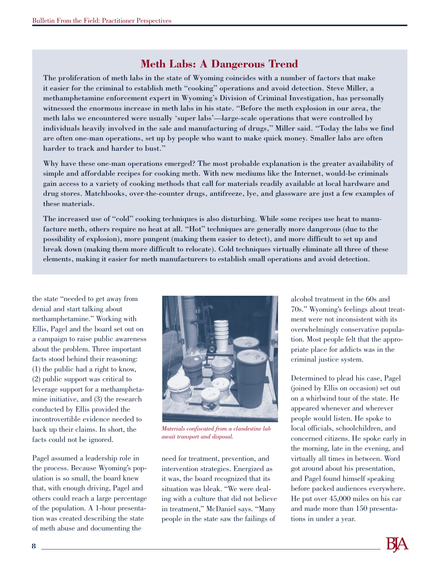#### **Meth Labs: A Dangerous Trend**

The proliferation of meth labs in the state of Wyoming coincides with a number of factors that make it easier for the criminal to establish meth "cooking" operations and avoid detection. Steve Miller, a methamphetamine enforcement expert in Wyoming's Division of Criminal Investigation, has personally witnessed the enormous increase in meth labs in his state. "Before the meth explosion in our area, the meth labs we encountered were usually 'super labs'—large-scale operations that were controlled by individuals heavily involved in the sale and manufacturing of drugs," Miller said. "Today the labs we find are often one-man operations, set up by people who want to make quick money. Smaller labs are often harder to track and harder to bust."

Why have these one-man operations emerged? The most probable explanation is the greater availability of simple and affordable recipes for cooking meth. With new mediums like the Internet, would-be criminals gain access to a variety of cooking methods that call for materials readily available at local hardware and drug stores. Matchbooks, over-the-counter drugs, antifreeze, lye, and glassware are just a few examples of these materials.

The increased use of "cold" cooking techniques is also disturbing. While some recipes use heat to manufacture meth, others require no heat at all. "Hot" techniques are generally more dangerous (due to the possibility of explosion), more pungent (making them easier to detect), and more difficult to set up and break down (making them more difficult to relocate). Cold techniques virtually eliminate all three of these elements, making it easier for meth manufacturers to establish small operations and avoid detection.

the state "needed to get away from denial and start talking about methamphetamine." Working with Ellis, Pagel and the board set out on a campaign to raise public awareness about the problem. Three important facts stood behind their reasoning: (1) the public had a right to know, (2) public support was critical to leverage support for a methamphetamine initiative, and (3) the research conducted by Ellis provided the incontrovertible evidence needed to back up their claims. In short, the facts could not be ignored.

Pagel assumed a leadership role in the process. Because Wyoming's population is so small, the board knew that, with enough driving, Pagel and others could reach a large percentage of the population. A 1-hour presentation was created describing the state of meth abuse and documenting the



*Materials confiscated from a clandestine lab await transport and disposal.*

need for treatment, prevention, and intervention strategies. Energized as it was, the board recognized that its situation was bleak. "We were dealing with a culture that did not believe in treatment," McDaniel says. "Many people in the state saw the failings of

alcohol treatment in the 60s and 70s." Wyoming's feelings about treatment were not inconsistent with its overwhelmingly conservative population. Most people felt that the appropriate place for addicts was in the criminal justice system.

Determined to plead his case, Pagel (joined by Ellis on occasion) set out on a whirlwind tour of the state. He appeared whenever and wherever people would listen. He spoke to local officials, schoolchildren, and concerned citizens. He spoke early in the morning, late in the evening, and virtually all times in between. Word got around about his presentation, and Pagel found himself speaking before packed audiences everywhere. He put over 45,000 miles on his car and made more than 150 presentations in under a year.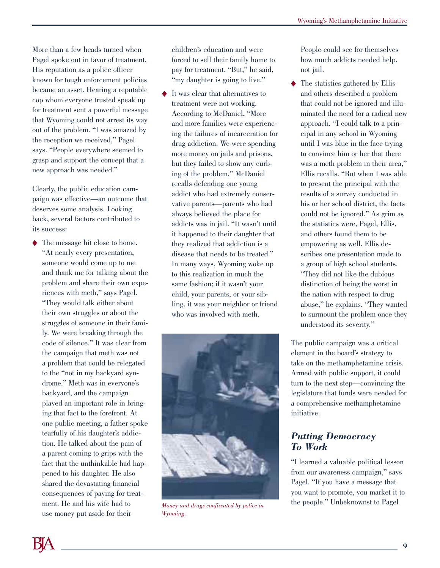More than a few heads turned when Pagel spoke out in favor of treatment. His reputation as a police officer known for tough enforcement policies became an asset. Hearing a reputable cop whom everyone trusted speak up for treatment sent a powerful message that Wyoming could not arrest its way out of the problem. "I was amazed by the reception we received," Pagel says. "People everywhere seemed to grasp and support the concept that a new approach was needed."

Clearly, the public education campaign was effective—an outcome that deserves some analysis. Looking back, several factors contributed to its success:

◆ The message hit close to home. "At nearly every presentation, someone would come up to me and thank me for talking about the problem and share their own experiences with meth," says Pagel. "They would talk either about their own struggles or about the struggles of someone in their family. We were breaking through the code of silence." It was clear from the campaign that meth was not a problem that could be relegated to the "not in my backyard syndrome." Meth was in everyone's backyard, and the campaign played an important role in bringing that fact to the forefront. At one public meeting, a father spoke tearfully of his daughter's addiction. He talked about the pain of a parent coming to grips with the fact that the unthinkable had happened to his daughter. He also shared the devastating financial consequences of paying for treatment. He and his wife had to use money put aside for their

children's education and were forced to sell their family home to pay for treatment. "But," he said, "my daughter is going to live."

It was clear that alternatives to treatment were not working. According to McDaniel, "More and more families were experiencing the failures of incarceration for drug addiction. We were spending more money on jails and prisons, but they failed to show any curbing of the problem." McDaniel recalls defending one young addict who had extremely conservative parents—parents who had always believed the place for addicts was in jail. "It wasn't until it happened to their daughter that they realized that addiction is a disease that needs to be treated." In many ways, Wyoming woke up to this realization in much the same fashion; if it wasn't your child, your parents, or your sibling, it was your neighbor or friend who was involved with meth.



*Wyoming.*

People could see for themselves how much addicts needed help, not jail.

◆ The statistics gathered by Ellis and others described a problem that could not be ignored and illuminated the need for a radical new approach. "I could talk to a principal in any school in Wyoming until I was blue in the face trying to convince him or her that there was a meth problem in their area," Ellis recalls. "But when I was able to present the principal with the results of a survey conducted in his or her school district, the facts could not be ignored." As grim as the statistics were, Pagel, Ellis, and others found them to be empowering as well. Ellis describes one presentation made to a group of high school students. "They did not like the dubious distinction of being the worst in the nation with respect to drug abuse," he explains. "They wanted to surmount the problem once they understood its severity."

The public campaign was a critical element in the board's strategy to take on the methamphetamine crisis. Armed with public support, it could turn to the next step—convincing the legislature that funds were needed for a comprehensive methamphetamine initiative.

#### *Putting Democracy To Work*

"I learned a valuable political lesson from our awareness campaign," says Pagel. "If you have a message that you want to promote, you market it to *Money and drugs confiscated by police in* the people." Unbeknownst to Pagel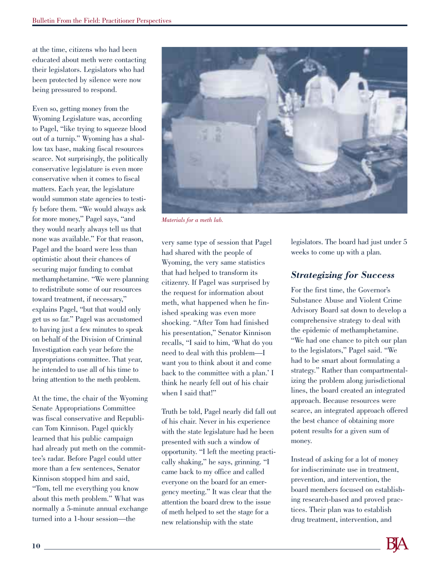at the time, citizens who had been educated about meth were contacting their legislators. Legislators who had been protected by silence were now being pressured to respond.

Even so, getting money from the Wyoming Legislature was, according to Pagel, "like trying to squeeze blood out of a turnip." Wyoming has a shallow tax base, making fiscal resources scarce. Not surprisingly, the politically conservative legislature is even more conservative when it comes to fiscal matters. Each year, the legislature would summon state agencies to testify before them. "We would always ask for more money," Pagel says, "and they would nearly always tell us that none was available." For that reason, Pagel and the board were less than optimistic about their chances of securing major funding to combat methamphetamine. "We were planning to redistribute some of our resources toward treatment, if necessary," explains Pagel, "but that would only get us so far." Pagel was accustomed to having just a few minutes to speak on behalf of the Division of Criminal Investigation each year before the appropriations committee. That year, he intended to use all of his time to bring attention to the meth problem.

At the time, the chair of the Wyoming Senate Appropriations Committee was fiscal conservative and Republican Tom Kinnison. Pagel quickly learned that his public campaign had already put meth on the committee's radar. Before Pagel could utter more than a few sentences, Senator Kinnison stopped him and said, "Tom, tell me everything you know about this meth problem." What was normally a 5-minute annual exchange turned into a 1-hour session—the



*Materials for a meth lab.*

very same type of session that Pagel had shared with the people of Wyoming, the very same statistics that had helped to transform its citizenry. If Pagel was surprised by the request for information about meth, what happened when he finished speaking was even more shocking. "After Tom had finished his presentation," Senator Kinnison recalls, "I said to him, 'What do you need to deal with this problem—I want you to think about it and come back to the committee with a plan.' I think he nearly fell out of his chair when I said that!"

Truth be told, Pagel nearly did fall out of his chair. Never in his experience with the state legislature had he been presented with such a window of opportunity. "I left the meeting practically shaking," he says, grinning. "I came back to my office and called everyone on the board for an emergency meeting." It was clear that the attention the board drew to the issue of meth helped to set the stage for a new relationship with the state

legislators. The board had just under 5 weeks to come up with a plan.

#### *Strategizing for Success*

For the first time, the Governor's Substance Abuse and Violent Crime Advisory Board sat down to develop a comprehensive strategy to deal with the epidemic of methamphetamine. "We had one chance to pitch our plan to the legislators," Pagel said. "We had to be smart about formulating a strategy." Rather than compartmentalizing the problem along jurisdictional lines, the board created an integrated approach. Because resources were scarce, an integrated approach offered the best chance of obtaining more potent results for a given sum of money.

Instead of asking for a lot of money for indiscriminate use in treatment, prevention, and intervention, the board members focused on establishing research-based and proved practices. Their plan was to establish drug treatment, intervention, and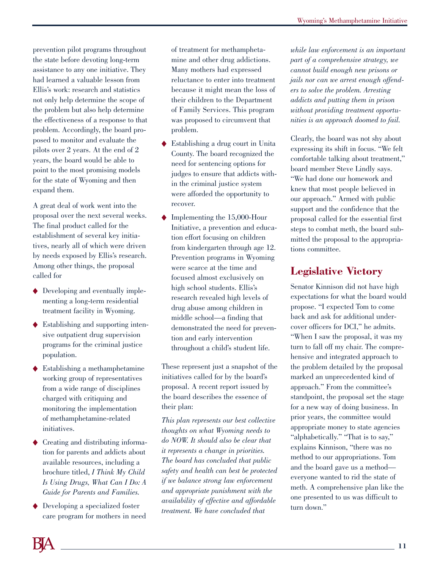prevention pilot programs throughout the state before devoting long-term assistance to any one initiative. They had learned a valuable lesson from Ellis's work: research and statistics not only help determine the scope of the problem but also help determine the effectiveness of a response to that problem. Accordingly, the board proposed to monitor and evaluate the pilots over 2 years. At the end of 2 years, the board would be able to point to the most promising models for the state of Wyoming and then expand them.

A great deal of work went into the proposal over the next several weeks. The final product called for the establishment of several key initiatives, nearly all of which were driven by needs exposed by Ellis's research. Among other things, the proposal called for

- ◆ Developing and eventually implementing a long-term residential treatment facility in Wyoming.
- ◆ Establishing and supporting intensive outpatient drug supervision programs for the criminal justice population.
- ◆ Establishing a methamphetamine working group of representatives from a wide range of disciplines charged with critiquing and monitoring the implementation of methamphetamine-related initiatives.
- Creating and distributing information for parents and addicts about available resources, including a brochure titled, *I Think My Child Is Using Drugs, What Can I Do: A Guide for Parents and Families.*
- ◆ Developing a specialized foster care program for mothers in need

of treatment for methamphetamine and other drug addictions. Many mothers had expressed reluctance to enter into treatment because it might mean the loss of their children to the Department of Family Services. This program was proposed to circumvent that problem.

- ◆ Establishing a drug court in Unita County. The board recognized the need for sentencing options for judges to ensure that addicts within the criminal justice system were afforded the opportunity to recover.
- ◆ Implementing the 15,000-Hour Initiative, a prevention and education effort focusing on children from kindergarten through age 12. Prevention programs in Wyoming were scarce at the time and focused almost exclusively on high school students. Ellis's research revealed high levels of drug abuse among children in middle school—a finding that demonstrated the need for prevention and early intervention throughout a child's student life.

These represent just a snapshot of the initiatives called for by the board's proposal. A recent report issued by the board describes the essence of their plan:

*This plan represents our best collective thoughts on what Wyoming needs to do NOW. It should also be clear that it represents a change in priorities. The board has concluded that public safety and health can best be protected if we balance strong law enforcement and appropriate punishment with the availability of effective and affordable treatment. We have concluded that*

*while law enforcement is an important part of a comprehensive strategy, we cannot build enough new prisons or jails nor can we arrest enough offenders to solve the problem. Arresting addicts and putting them in prison without providing treatment opportunities is an approach doomed to fail.*

Clearly, the board was not shy about expressing its shift in focus. "We felt comfortable talking about treatment," board member Steve Lindly says. "We had done our homework and knew that most people believed in our approach." Armed with public support and the confidence that the proposal called for the essential first steps to combat meth, the board submitted the proposal to the appropriations committee.

### **Legislative Victory**

Senator Kinnison did not have high expectations for what the board would propose. "I expected Tom to come back and ask for additional undercover officers for DCI," he admits. "When I saw the proposal, it was my turn to fall off my chair. The comprehensive and integrated approach to the problem detailed by the proposal marked an unprecedented kind of approach." From the committee's standpoint, the proposal set the stage for a new way of doing business. In prior years, the committee would appropriate money to state agencies "alphabetically." "That is to say," explains Kinnison, "there was no method to our appropriations. Tom and the board gave us a method everyone wanted to rid the state of meth. A comprehensive plan like the one presented to us was difficult to turn down."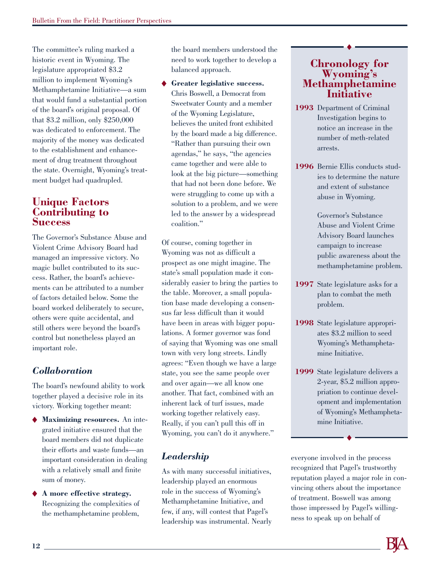The committee's ruling marked a historic event in Wyoming. The legislature appropriated \$3.2 million to implement Wyoming's Methamphetamine Initiative—a sum that would fund a substantial portion of the board's original proposal. Of that \$3.2 million, only \$250,000 was dedicated to enforcement. The majority of the money was dedicated to the establishment and enhancement of drug treatment throughout the state. Overnight, Wyoming's treatment budget had quadrupled.

#### **Unique Factors Contributing to Success**

The Governor's Substance Abuse and Violent Crime Advisory Board had managed an impressive victory. No magic bullet contributed to its success. Rather, the board's achievements can be attributed to a number of factors detailed below. Some the board worked deliberately to secure, others were quite accidental, and still others were beyond the board's control but nonetheless played an important role.

#### *Collaboration*

The board's newfound ability to work together played a decisive role in its victory. Working together meant:

- ◆ **Maximizing resources.** An integrated initiative ensured that the board members did not duplicate their efforts and waste funds—an important consideration in dealing with a relatively small and finite sum of money.
- ◆ **A more effective strategy.** Recognizing the complexities of the methamphetamine problem,

the board members understood the need to work together to develop a balanced approach.

◆ **Greater legislative success.** Chris Boswell, a Democrat from Sweetwater County and a member of the Wyoming Legislature, believes the united front exhibited by the board made a big difference. "Rather than pursuing their own agendas," he says, "the agencies came together and were able to look at the big picture—something that had not been done before. We were struggling to come up with a solution to a problem, and we were led to the answer by a widespread coalition."

Of course, coming together in Wyoming was not as difficult a prospect as one might imagine. The state's small population made it considerably easier to bring the parties to the table. Moreover, a small population base made developing a consensus far less difficult than it would have been in areas with bigger populations. A former governor was fond of saying that Wyoming was one small town with very long streets. Lindly agrees: "Even though we have a large state, you see the same people over and over again—we all know one another. That fact, combined with an inherent lack of turf issues, made working together relatively easy. Really, if you can't pull this off in Wyoming, you can't do it anywhere."

#### *Leadership*

As with many successful initiatives, leadership played an enormous role in the success of Wyoming's Methamphetamine Initiative, and few, if any, will contest that Pagel's leadership was instrumental. Nearly

# **Chronology for Wyoming's Methamphetamine Initiative**

- **1993** Department of Criminal Investigation begins to notice an increase in the number of meth-related arrests.
- **1996** Bernie Ellis conducts studies to determine the nature and extent of substance abuse in Wyoming.

Governor's Substance Abuse and Violent Crime Advisory Board launches campaign to increase public awareness about the methamphetamine problem.

- **1997** State legislature asks for a plan to combat the meth problem.
- **1998** State legislature appropriates \$3.2 million to seed Wyoming's Methamphetamine Initiative.
- **1999** State legislature delivers a 2-year, \$5.2 million appropriation to continue development and implementation of Wyoming's Methamphetamine Initiative.

everyone involved in the process recognized that Pagel's trustworthy reputation played a major role in convincing others about the importance of treatment. Boswell was among those impressed by Pagel's willingness to speak up on behalf of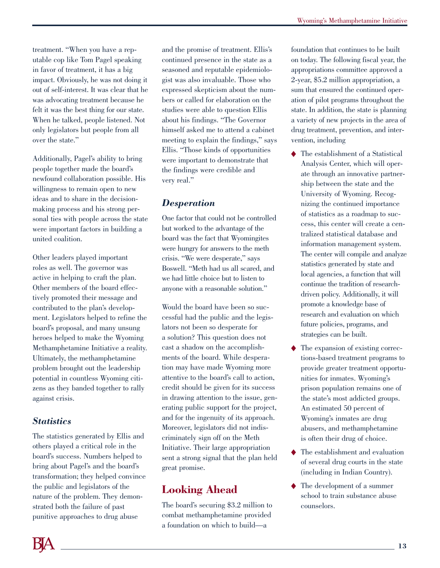treatment. "When you have a reputable cop like Tom Pagel speaking in favor of treatment, it has a big impact. Obviously, he was not doing it out of self-interest. It was clear that he was advocating treatment because he felt it was the best thing for our state. When he talked, people listened. Not only legislators but people from all over the state."

Additionally, Pagel's ability to bring people together made the board's newfound collaboration possible. His willingness to remain open to new ideas and to share in the decisionmaking process and his strong personal ties with people across the state were important factors in building a united coalition.

Other leaders played important roles as well. The governor was active in helping to craft the plan. Other members of the board effectively promoted their message and contributed to the plan's development. Legislators helped to refine the board's proposal, and many unsung heroes helped to make the Wyoming Methamphetamine Initiative a reality. Ultimately, the methamphetamine problem brought out the leadership potential in countless Wyoming citizens as they banded together to rally against crisis.

#### *Statistics*

The statistics generated by Ellis and others played a critical role in the board's success. Numbers helped to bring about Pagel's and the board's transformation; they helped convince the public and legislators of the nature of the problem. They demonstrated both the failure of past punitive approaches to drug abuse

and the promise of treatment. Ellis's continued presence in the state as a seasoned and reputable epidemiologist was also invaluable. Those who expressed skepticism about the numbers or called for elaboration on the studies were able to question Ellis about his findings. "The Governor himself asked me to attend a cabinet meeting to explain the findings," says Ellis. "Those kinds of opportunities were important to demonstrate that the findings were credible and very real."

#### *Desperation*

One factor that could not be controlled but worked to the advantage of the board was the fact that Wyomingites were hungry for answers to the meth crisis. "We were desperate," says Boswell. "Meth had us all scared, and we had little choice but to listen to anyone with a reasonable solution."

Would the board have been so successful had the public and the legislators not been so desperate for a solution? This question does not cast a shadow on the accomplishments of the board. While desperation may have made Wyoming more attentive to the board's call to action, credit should be given for its success in drawing attention to the issue, generating public support for the project, and for the ingenuity of its approach. Moreover, legislators did not indiscriminately sign off on the Meth Initiative. Their large appropriation sent a strong signal that the plan held great promise.

# **Looking Ahead**

The board's securing \$3.2 million to combat methamphetamine provided a foundation on which to build—a

foundation that continues to be built on today. The following fiscal year, the appropriations committee approved a 2-year, \$5.2 million appropriation, a sum that ensured the continued operation of pilot programs throughout the state. In addition, the state is planning a variety of new projects in the area of drug treatment, prevention, and intervention, including

- ◆ The establishment of a Statistical Analysis Center, which will operate through an innovative partnership between the state and the University of Wyoming. Recognizing the continued importance of statistics as a roadmap to success, this center will create a centralized statistical database and information management system. The center will compile and analyze statistics generated by state and local agencies, a function that will continue the tradition of researchdriven policy. Additionally, it will promote a knowledge base of research and evaluation on which future policies, programs, and strategies can be built.
- ◆ The expansion of existing corrections-based treatment programs to provide greater treatment opportunities for inmates. Wyoming's prison population remains one of the state's most addicted groups. An estimated 50 percent of Wyoming's inmates are drug abusers, and methamphetamine is often their drug of choice.
- ◆ The establishment and evaluation of several drug courts in the state (including in Indian Country).
- ◆ The development of a summer school to train substance abuse counselors.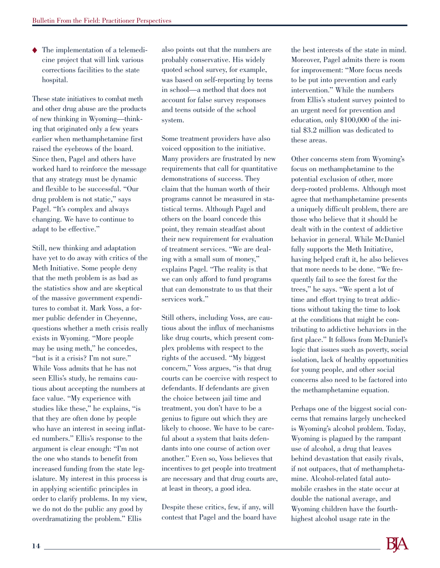◆ The implementation of a telemedicine project that will link various corrections facilities to the state hospital.

These state initiatives to combat meth and other drug abuse are the products of new thinking in Wyoming—thinking that originated only a few years earlier when methamphetamine first raised the eyebrows of the board. Since then, Pagel and others have worked hard to reinforce the message that any strategy must be dynamic and flexible to be successful. "Our drug problem is not static," says Pagel. "It's complex and always changing. We have to continue to adapt to be effective."

Still, new thinking and adaptation have yet to do away with critics of the Meth Initiative. Some people deny that the meth problem is as bad as the statistics show and are skeptical of the massive government expenditures to combat it. Mark Voss, a former public defender in Cheyenne, questions whether a meth crisis really exists in Wyoming. "More people may be using meth," he concedes, "but is it a crisis? I'm not sure." While Voss admits that he has not seen Ellis's study, he remains cautious about accepting the numbers at face value. "My experience with studies like these," he explains, "is that they are often done by people who have an interest in seeing inflated numbers." Ellis's response to the argument is clear enough: "I'm not the one who stands to benefit from increased funding from the state legislature. My interest in this process is in applying scientific principles in order to clarify problems. In my view, we do not do the public any good by overdramatizing the problem." Ellis

also points out that the numbers are probably conservative. His widely quoted school survey, for example, was based on self-reporting by teens in school—a method that does not account for false survey responses and teens outside of the school system.

Some treatment providers have also voiced opposition to the initiative. Many providers are frustrated by new requirements that call for quantitative demonstrations of success. They claim that the human worth of their programs cannot be measured in statistical terms. Although Pagel and others on the board concede this point, they remain steadfast about their new requirement for evaluation of treatment services. "We are dealing with a small sum of money," explains Pagel. "The reality is that we can only afford to fund programs that can demonstrate to us that their services work."

Still others, including Voss, are cautious about the influx of mechanisms like drug courts, which present complex problems with respect to the rights of the accused. "My biggest concern," Voss argues, "is that drug courts can be coercive with respect to defendants. If defendants are given the choice between jail time and treatment, you don't have to be a genius to figure out which they are likely to choose. We have to be careful about a system that baits defendants into one course of action over another." Even so, Voss believes that incentives to get people into treatment are necessary and that drug courts are, at least in theory, a good idea.

Despite these critics, few, if any, will contest that Pagel and the board have

the best interests of the state in mind. Moreover, Pagel admits there is room for improvement: "More focus needs to be put into prevention and early intervention." While the numbers from Ellis's student survey pointed to an urgent need for prevention and education, only \$100,000 of the initial \$3.2 million was dedicated to these areas.

Other concerns stem from Wyoming's focus on methamphetamine to the potential exclusion of other, more deep-rooted problems. Although most agree that methamphetamine presents a uniquely difficult problem, there are those who believe that it should be dealt with in the context of addictive behavior in general. While McDaniel fully supports the Meth Initiative, having helped craft it, he also believes that more needs to be done. "We frequently fail to see the forest for the trees," he says. "We spent a lot of time and effort trying to treat addictions without taking the time to look at the conditions that might be contributing to addictive behaviors in the first place." It follows from McDaniel's logic that issues such as poverty, social isolation, lack of healthy opportunities for young people, and other social concerns also need to be factored into the methamphetamine equation.

Perhaps one of the biggest social concerns that remains largely unchecked is Wyoming's alcohol problem. Today, Wyoming is plagued by the rampant use of alcohol, a drug that leaves behind devastation that easily rivals, if not outpaces, that of methamphetamine. Alcohol-related fatal automobile crashes in the state occur at double the national average, and Wyoming children have the fourthhighest alcohol usage rate in the